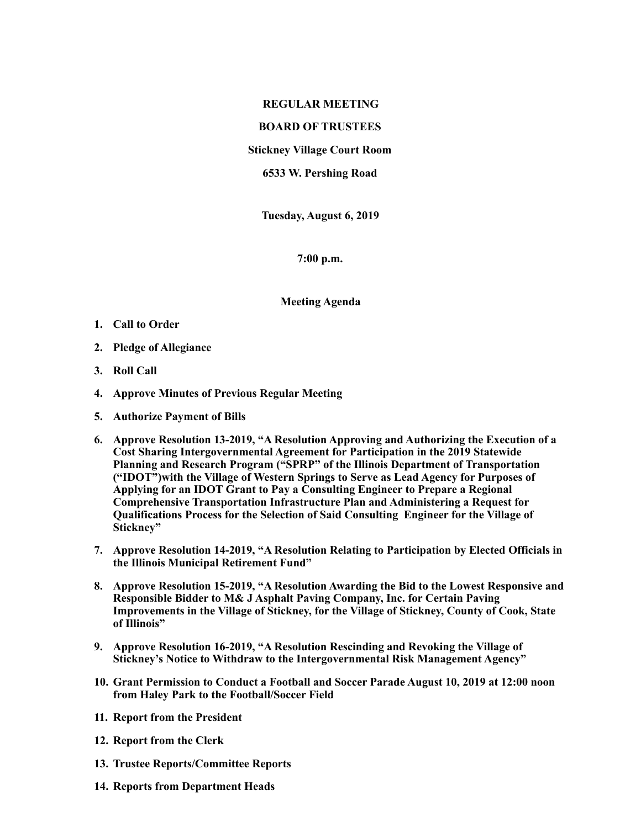## **REGULAR MEETING**

## **BOARD OF TRUSTEES**

**Stickney Village Court Room** 

**6533 W. Pershing Road** 

**Tuesday, August 6, 2019** 

**7:00 p.m.** 

**Meeting Agenda** 

- **1. Call to Order**
- **2. Pledge of Allegiance**
- **3. Roll Call**
- **4. Approve Minutes of Previous Regular Meeting**
- **5. Authorize Payment of Bills**
- **6. Approve Resolution 13-2019, "A Resolution Approving and Authorizing the Execution of a Cost Sharing Intergovernmental Agreement for Participation in the 2019 Statewide Planning and Research Program ("SPRP" of the Illinois Department of Transportation ("IDOT")with the Village of Western Springs to Serve as Lead Agency for Purposes of Applying for an IDOT Grant to Pay a Consulting Engineer to Prepare a Regional Comprehensive Transportation Infrastructure Plan and Administering a Request for Qualifications Process for the Selection of Said Consulting Engineer for the Village of Stickney"**
- **7. Approve Resolution 14-2019, "A Resolution Relating to Participation by Elected Officials in the Illinois Municipal Retirement Fund"**
- **8. Approve Resolution 15-2019, "A Resolution Awarding the Bid to the Lowest Responsive and Responsible Bidder to M& J Asphalt Paving Company, Inc. for Certain Paving Improvements in the Village of Stickney, for the Village of Stickney, County of Cook, State of Illinois"**
- **9. Approve Resolution 16-2019, "A Resolution Rescinding and Revoking the Village of Stickney's Notice to Withdraw to the Intergovernmental Risk Management Agency"**
- **10. Grant Permission to Conduct a Football and Soccer Parade August 10, 2019 at 12:00 noon from Haley Park to the Football/Soccer Field**
- **11. Report from the President**
- **12. Report from the Clerk**
- **13. Trustee Reports/Committee Reports**
- **14. Reports from Department Heads**